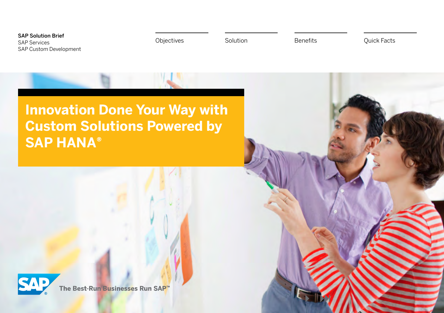SAP Solution Brief SAP Services SAP Custom Development

[Objectives](#page-1-0) [Solution](#page-2-0) [Benefits](#page-7-0) [Quick Facts](#page-8-0)

**Innovation Done Your Way with Custom Solutions Powered by SAP HANA®** 



The Best-Run Businesses Run SAP<sup>™</sup>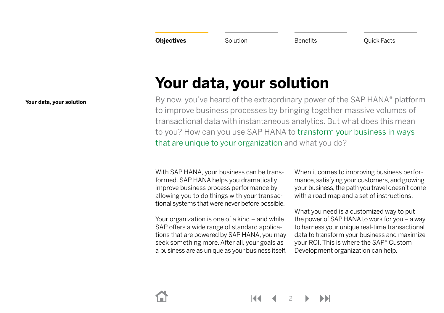<span id="page-1-0"></span>**Objectives** [Solution](#page-2-0) **[Benefits](#page-7-0) Benefits** [Quick Facts](#page-8-0)

# <span id="page-1-1"></span>**Your data, your solution**

By now, you've heard of the extraordinary power of the SAP HANA® platform to improve business processes by bringing together massive volumes of transactional data with instantaneous analytics. But what does this mean to you? How can you use SAP HANA to transform your business in ways that are unique to your organization and what you do?

With SAP HANA, your business can be transformed. SAP HANA helps you dramatically improve business process performance by allowing you to do things with your transactional systems that were never before possible.

Your organization is one of a kind – and while SAP offers a wide range of standard applications that are powered by SAP HANA, you may seek something more. After all, your goals as a business are as unique as your business itself. When it comes to improving business performance, satisfying your customers, and growing your business, the path you travel doesn't come with a road map and a set of instructions.

What you need is a customized way to put the power of SAP HANA to work for you – a way to harness your unique real-time transactional data to transform your business and maximize your ROI. This is where the SAP® Custom Development organization can help.

**[Your data, your solution](#page-1-1)**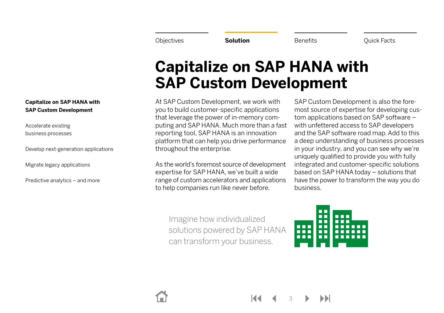<span id="page-2-0"></span>

## <span id="page-2-1"></span>**Capitalize on SAP HANA with SAP Custom Development**

At SAP Custom Development, we work with you to build customer-specific applications that leverage the power of in-memory computing and SAP HANA. Much more than a fast reporting tool, SAP HANA is an innovation platform that can help you drive performance throughout the enterprise.

As the world's foremost source of development expertise for SAP HANA, we've built a wide range of custom accelerators and applications to help companies run like never before.

SAP Custom Development is also the foremost source of expertise for developing custom applications based on SAP software – with unfettered access to SAP developers and the SAP software road map. Add to this a deep understanding of business processes in your industry, and you can see why we're uniquely qualified to provide you with fully integrated and customer-specific solutions based on SAP HANA today – solutions that have the power to transform the way you do business.

Imagine how individualized solutions powered by SAP HANA can transform your business.



3

**[Capitalize on SAP HANA with](#page-2-1)  [SAP Custom Development](#page-2-1)**

[Accelerate existing](#page-3-0)  [business processes](#page-3-0)

[Develop next-generation applications](#page-4-0)

[Migrate legacy applications](#page-5-0)

[Predictive analytics – and more](#page-6-0)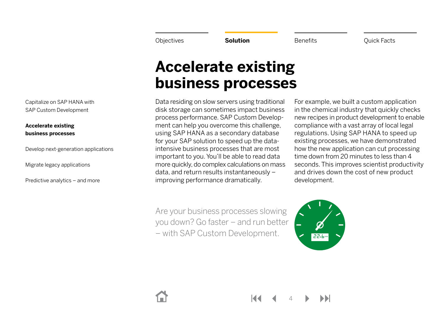## <span id="page-3-0"></span>**Accelerate existing business processes**

Data residing on slow servers using traditional disk storage can sometimes impact business process performance. SAP Custom Development can help you overcome this challenge, using SAP HANA as a secondary database for your SAP solution to speed up the dataintensive business processes that are most important to you. You'll be able to read data more quickly, do complex calculations on mass data, and return results instantaneously – improving performance dramatically.

Are your business processes slowing you down? Go faster – and run better – with SAP Custom Development.

For example, we built a custom application in the chemical industry that quickly checks new recipes in product development to enable compliance with a vast array of local legal regulations. Using SAP HANA to speed up existing processes, we have demonstrated how the new application can cut processing time down from 20 minutes to less than 4 seconds. This improves scientist productivity and drives down the cost of new product development.



4

[Capitalize on SAP HANA with](#page-2-1)  [SAP Custom Development](#page-2-1)

**[Accelerate existing](#page-3-0)  [business processes](#page-3-0)**

[Develop next-generation applications](#page-4-0)

[Migrate legacy applications](#page-5-0)

[Predictive analytics – and more](#page-6-0)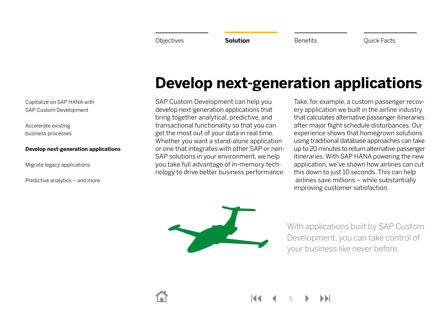# <span id="page-4-0"></span>**Develop next-generation applications**

SAP Custom Development can help you develop next-generation applications that bring together analytical, predictive, and transactional functionality so that you can get the most out of your data in real time. Whether you want a stand-alone application or one that integrates with other SAP or non-SAP solutions in your environment, we help you take full advantage of in-memory technology to drive better business performance.

Take, for example, a custom passenger recovery application we built in the airline industry that calculates alternative passenger itineraries after major flight schedule disturbances. Our experience shows that homegrown solutions using traditional database approaches can take up to 20 minutes to return alternative passenger itineraries. With SAP HANA powering the new application, we've shown how airlines can cut this down to just 10 seconds. This can help airlines save millions – while substantially improving customer satisfaction.

With applications built by SAP Custom Development, you can take control of your business like never before.

[Capitalize on SAP HANA with](#page-2-1)  [SAP Custom Development](#page-2-1)

[Accelerate existing](#page-3-0)  [business processes](#page-3-0)

#### **[Develop next-generation applications](#page-4-0)**

[Migrate legacy applications](#page-5-0)

[Predictive analytics – and more](#page-6-0)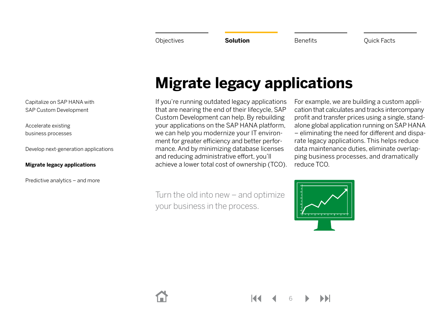[Capitalize on SAP HANA with](#page-2-1)  [SAP Custom Development](#page-2-1)

[Accelerate existing](#page-3-0)  [business processes](#page-3-0)

[Develop next-generation applications](#page-4-0)

#### **[Migrate legacy applications](#page-5-0)**

[Predictive analytics – and more](#page-6-0)

# <span id="page-5-0"></span>**Migrate legacy applications**

If you're running outdated legacy applications that are nearing the end of their lifecycle, SAP Custom Development can help. By rebuilding your applications on the SAP HANA platform, we can help you modernize your IT environment for greater efficiency and better performance. And by minimizing database licenses and reducing administrative effort, you'll achieve a lower total cost of ownership (TCO). For example, we are building a custom application that calculates and tracks intercompany profit and transfer prices using a single, standalone global application running on SAP HANA – eliminating the need for different and disparate legacy applications. This helps reduce data maintenance duties, eliminate overlapping business processes, and dramatically reduce TCO.

Turn the old into new – and optimize your business in the process.



6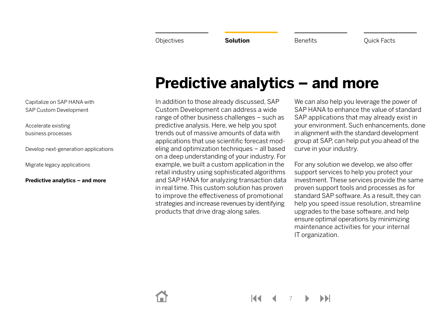[Capitalize on SAP HANA with](#page-2-1)  [SAP Custom Development](#page-2-1)

[Accelerate existing](#page-3-0)  [business processes](#page-3-0)

[Develop next-generation applications](#page-4-0)

[Migrate legacy applications](#page-5-0)

**[Predictive analytics – and more](#page-6-0)**

# <span id="page-6-0"></span>**Predictive analytics – and more**

In addition to those already discussed, SAP Custom Development can address a wide range of other business challenges – such as predictive analysis. Here, we help you spot trends out of massive amounts of data with applications that use scientific forecast modeling and optimization techniques – all based on a deep understanding of your industry. For example, we built a custom application in the retail industry using sophisticated algorithms and SAP HANA for analyzing transaction data in real time. This custom solution has proven to improve the effectiveness of promotional strategies and increase revenues by identifying products that drive drag-along sales.

We can also help you leverage the power of SAP HANA to enhance the value of standard SAP applications that may already exist in your environment. Such enhancements, done in alignment with the standard development group at SAP, can help put you ahead of the curve in your industry.

For any solution we develop, we also offer support services to help you protect your investment. These services provide the same proven support tools and processes as for standard SAP software. As a result, they can help you speed issue resolution, streamline upgrades to the base software, and help ensure optimal operations by minimizing maintenance activities for your internal IT organization.

7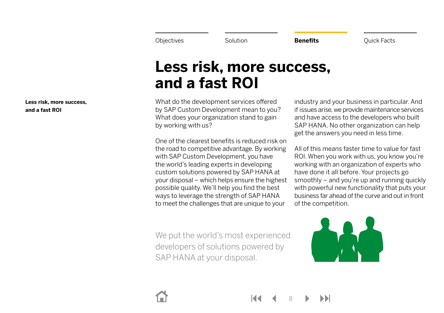<span id="page-7-0"></span>

# <span id="page-7-1"></span>**Less risk, more success, and a fast ROI**

What do the development services offered by SAP Custom Development mean to you? What does your organization stand to gain by working with us?

One of the clearest benefits is reduced risk on the road to competitive advantage. By working with SAP Custom Development, you have the world's leading experts in developing custom solutions powered by SAP HANA at your disposal – which helps ensure the highest possible quality. We'll help you find the best ways to leverage the strength of SAP HANA to meet the challenges that are unique to your

industry and your business in particular. And if issues arise, we provide maintenance services and have access to the developers who built SAP HANA. No other organization can help get the answers you need in less time.

All of this means faster time to value for fast ROI. When you work with us, you know you're working with an organization of experts who have done it all before. Your projects go smoothly – and you're up and running quickly with powerful new functionality that puts your business far ahead of the curve and out in front of the competition.

We put the world's most experienced developers of solutions powered by SAP HANA at your disposal.



8

**[Less risk, more success,](#page-7-1)  [and a fast ROI](#page-7-1)**